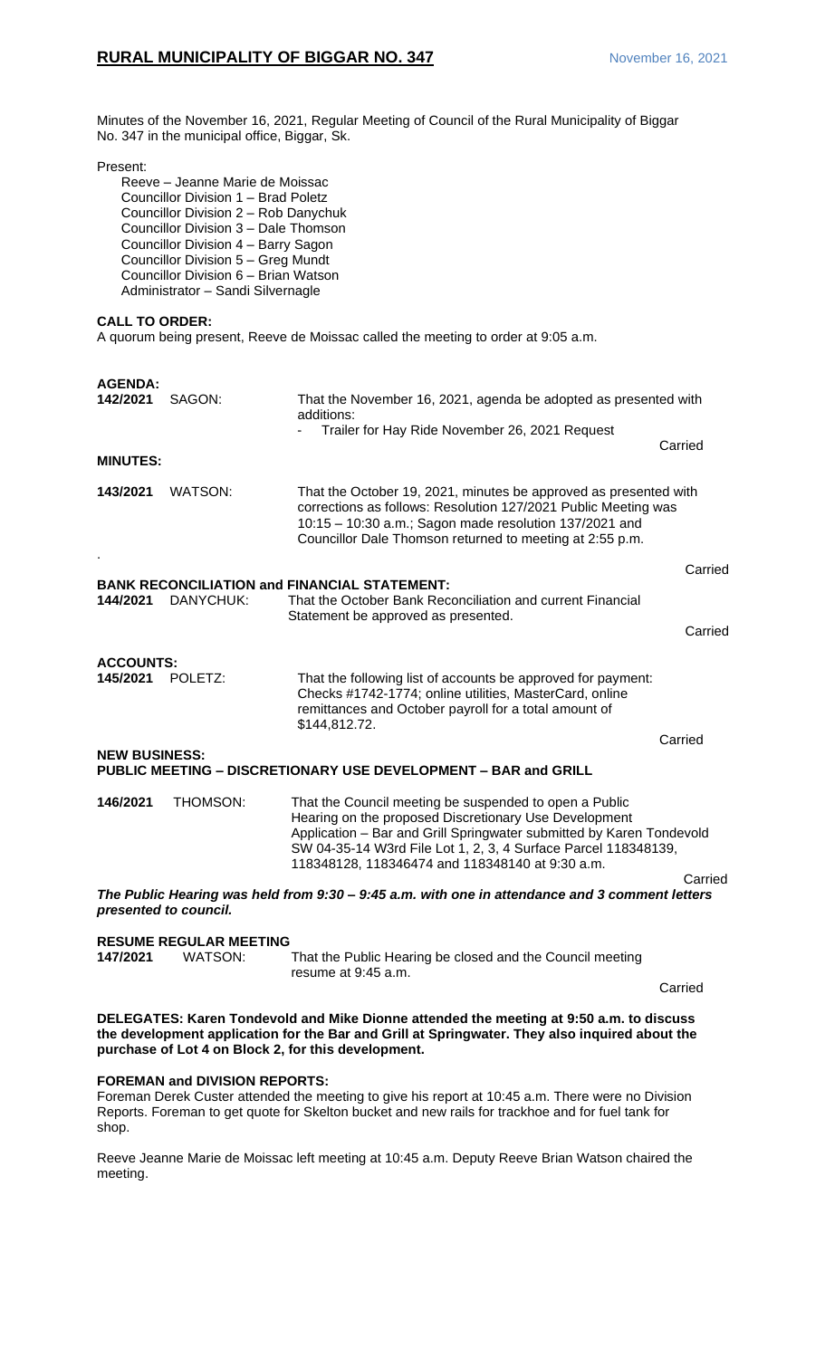Minutes of the November 16, 2021, Regular Meeting of Council of the Rural Municipality of Biggar No. 347 in the municipal office, Biggar, Sk.

#### Present:

### **CALL TO ORDER:**

A quorum being present, Reeve de Moissac called the meeting to order at 9:05 a.m.

| <b>AGENDA:</b><br>142/2021                                                                                                                                                                                                                       | SAGON:                        | That the November 16, 2021, agenda be adopted as presented with<br>additions:                                                                                                                                                                                                                                |         |  |
|--------------------------------------------------------------------------------------------------------------------------------------------------------------------------------------------------------------------------------------------------|-------------------------------|--------------------------------------------------------------------------------------------------------------------------------------------------------------------------------------------------------------------------------------------------------------------------------------------------------------|---------|--|
|                                                                                                                                                                                                                                                  |                               | Trailer for Hay Ride November 26, 2021 Request                                                                                                                                                                                                                                                               | Carried |  |
| <b>MINUTES:</b>                                                                                                                                                                                                                                  |                               |                                                                                                                                                                                                                                                                                                              |         |  |
| 143/2021                                                                                                                                                                                                                                         | WATSON:                       | That the October 19, 2021, minutes be approved as presented with<br>corrections as follows: Resolution 127/2021 Public Meeting was<br>10:15 - 10:30 a.m.; Sagon made resolution 137/2021 and<br>Councillor Dale Thomson returned to meeting at 2:55 p.m.                                                     |         |  |
|                                                                                                                                                                                                                                                  |                               |                                                                                                                                                                                                                                                                                                              | Carried |  |
| 144/2021                                                                                                                                                                                                                                         | DANYCHUK:                     | <b>BANK RECONCILIATION and FINANCIAL STATEMENT:</b><br>That the October Bank Reconciliation and current Financial<br>Statement be approved as presented.                                                                                                                                                     |         |  |
|                                                                                                                                                                                                                                                  |                               |                                                                                                                                                                                                                                                                                                              | Carried |  |
|                                                                                                                                                                                                                                                  |                               |                                                                                                                                                                                                                                                                                                              |         |  |
| <b>ACCOUNTS:</b><br>145/2021                                                                                                                                                                                                                     | POLETZ:                       | That the following list of accounts be approved for payment:<br>Checks #1742-1774; online utilities, MasterCard, online<br>remittances and October payroll for a total amount of<br>\$144,812.72.                                                                                                            |         |  |
|                                                                                                                                                                                                                                                  |                               |                                                                                                                                                                                                                                                                                                              | Carried |  |
| <b>NEW BUSINESS:</b>                                                                                                                                                                                                                             |                               | PUBLIC MEETING - DISCRETIONARY USE DEVELOPMENT - BAR and GRILL                                                                                                                                                                                                                                               |         |  |
| 146/2021                                                                                                                                                                                                                                         | THOMSON:                      | That the Council meeting be suspended to open a Public<br>Hearing on the proposed Discretionary Use Development<br>Application - Bar and Grill Springwater submitted by Karen Tondevold<br>SW 04-35-14 W3rd File Lot 1, 2, 3, 4 Surface Parcel 118348139,<br>118348128, 118346474 and 118348140 at 9:30 a.m. |         |  |
| presented to council.                                                                                                                                                                                                                            |                               | The Public Hearing was held from 9:30 - 9:45 a.m. with one in attendance and 3 comment letters                                                                                                                                                                                                               | Carried |  |
|                                                                                                                                                                                                                                                  | <b>RESUME REGULAR MEETING</b> |                                                                                                                                                                                                                                                                                                              |         |  |
| 147/2021                                                                                                                                                                                                                                         | WATSON:                       | That the Public Hearing be closed and the Council meeting<br>resume at 9:45 a.m.                                                                                                                                                                                                                             |         |  |
|                                                                                                                                                                                                                                                  |                               |                                                                                                                                                                                                                                                                                                              | Carried |  |
| DELEGATES: Karen Tondevold and Mike Dionne attended the meeting at 9:50 a.m. to discuss<br>the development application for the Bar and Grill at Springwater. They also inquired about the<br>purchase of Lot 4 on Block 2, for this development. |                               |                                                                                                                                                                                                                                                                                                              |         |  |

### **FOREMAN and DIVISION REPORTS:**

Foreman Derek Custer attended the meeting to give his report at 10:45 a.m. There were no Division Reports. Foreman to get quote for Skelton bucket and new rails for trackhoe and for fuel tank for shop.

Reeve Jeanne Marie de Moissac left meeting at 10:45 a.m. Deputy Reeve Brian Watson chaired the meeting.